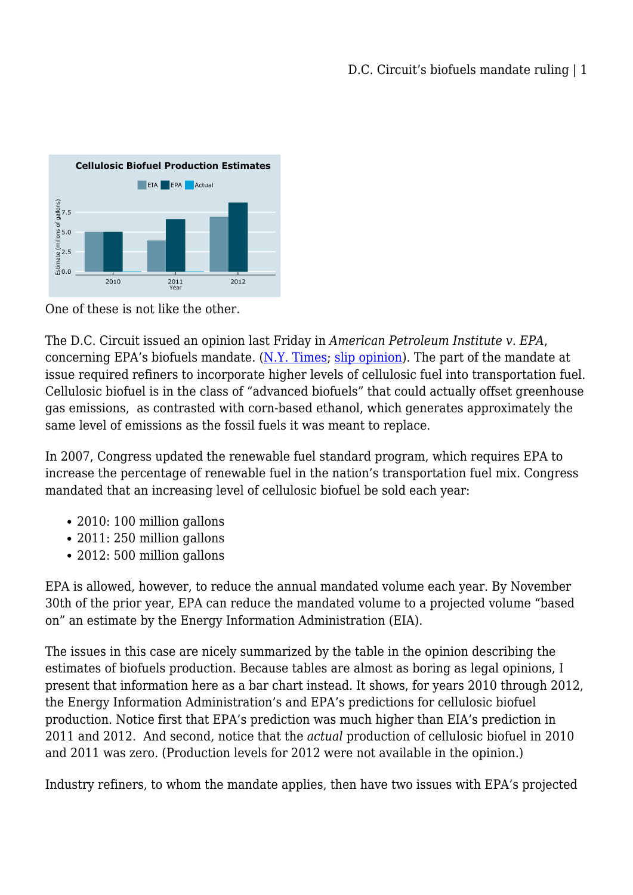

One of these is not like the other.

The D.C. Circuit issued an opinion last Friday in *American Petroleum Institute v. EPA*, concerning EPA's biofuels mandate. [\(N.Y. Times;](http://www.nytimes.com/2013/01/26/business/energy-environment/court-overturns-epas-biofuels-mandate.html?ref=earth&_r=1&) [slip opinion](http://www.cadc.uscourts.gov/internet/opinions.nsf/A57AB46B228054BD85257AFE00556B45/$file/12-1139-1417101.pdf)). The part of the mandate at issue required refiners to incorporate higher levels of cellulosic fuel into transportation fuel. Cellulosic biofuel is in the class of "advanced biofuels" that could actually offset greenhouse gas emissions, as contrasted with corn-based ethanol, which generates approximately the same level of emissions as the fossil fuels it was meant to replace.

In 2007, Congress updated the renewable fuel standard program, which requires EPA to increase the percentage of renewable fuel in the nation's transportation fuel mix. Congress mandated that an increasing level of cellulosic biofuel be sold each year:

- 2010: 100 million gallons
- 2011: 250 million gallons
- 2012: 500 million gallons

EPA is allowed, however, to reduce the annual mandated volume each year. By November 30th of the prior year, EPA can reduce the mandated volume to a projected volume "based on" an estimate by the Energy Information Administration (EIA).

The issues in this case are nicely summarized by the table in the opinion describing the estimates of biofuels production. Because tables are almost as boring as legal opinions, I present that information here as a bar chart instead. It shows, for years 2010 through 2012, the Energy Information Administration's and EPA's predictions for cellulosic biofuel production. Notice first that EPA's prediction was much higher than EIA's prediction in 2011 and 2012. And second, notice that the *actual* production of cellulosic biofuel in 2010 and 2011 was zero. (Production levels for 2012 were not available in the opinion.)

Industry refiners, to whom the mandate applies, then have two issues with EPA's projected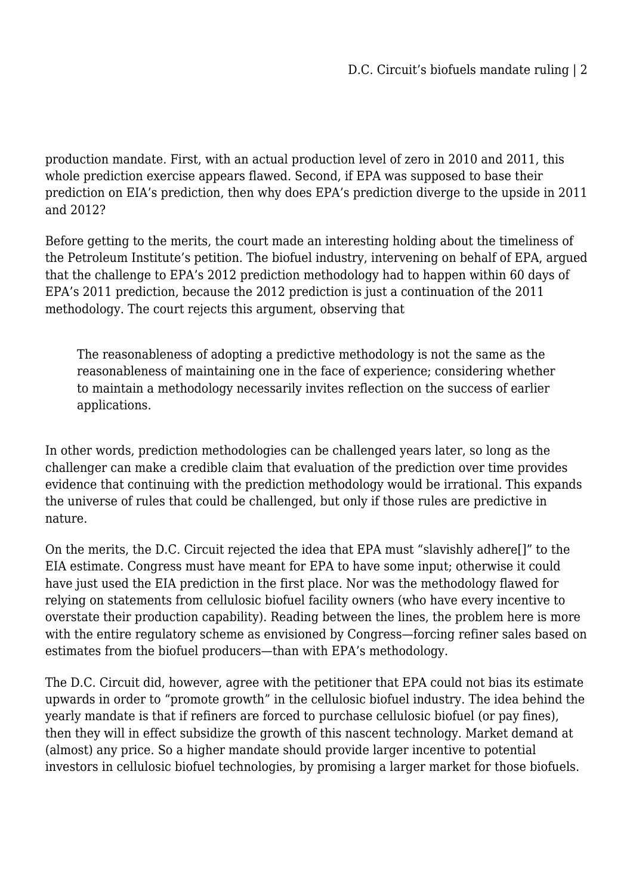production mandate. First, with an actual production level of zero in 2010 and 2011, this whole prediction exercise appears flawed. Second, if EPA was supposed to base their prediction on EIA's prediction, then why does EPA's prediction diverge to the upside in 2011 and 2012?

Before getting to the merits, the court made an interesting holding about the timeliness of the Petroleum Institute's petition. The biofuel industry, intervening on behalf of EPA, argued that the challenge to EPA's 2012 prediction methodology had to happen within 60 days of EPA's 2011 prediction, because the 2012 prediction is just a continuation of the 2011 methodology. The court rejects this argument, observing that

The reasonableness of adopting a predictive methodology is not the same as the reasonableness of maintaining one in the face of experience; considering whether to maintain a methodology necessarily invites reflection on the success of earlier applications.

In other words, prediction methodologies can be challenged years later, so long as the challenger can make a credible claim that evaluation of the prediction over time provides evidence that continuing with the prediction methodology would be irrational. This expands the universe of rules that could be challenged, but only if those rules are predictive in nature.

On the merits, the D.C. Circuit rejected the idea that EPA must "slavishly adhere[]" to the EIA estimate. Congress must have meant for EPA to have some input; otherwise it could have just used the EIA prediction in the first place. Nor was the methodology flawed for relying on statements from cellulosic biofuel facility owners (who have every incentive to overstate their production capability). Reading between the lines, the problem here is more with the entire regulatory scheme as envisioned by Congress—forcing refiner sales based on estimates from the biofuel producers—than with EPA's methodology.

The D.C. Circuit did, however, agree with the petitioner that EPA could not bias its estimate upwards in order to "promote growth" in the cellulosic biofuel industry. The idea behind the yearly mandate is that if refiners are forced to purchase cellulosic biofuel (or pay fines), then they will in effect subsidize the growth of this nascent technology. Market demand at (almost) any price. So a higher mandate should provide larger incentive to potential investors in cellulosic biofuel technologies, by promising a larger market for those biofuels.